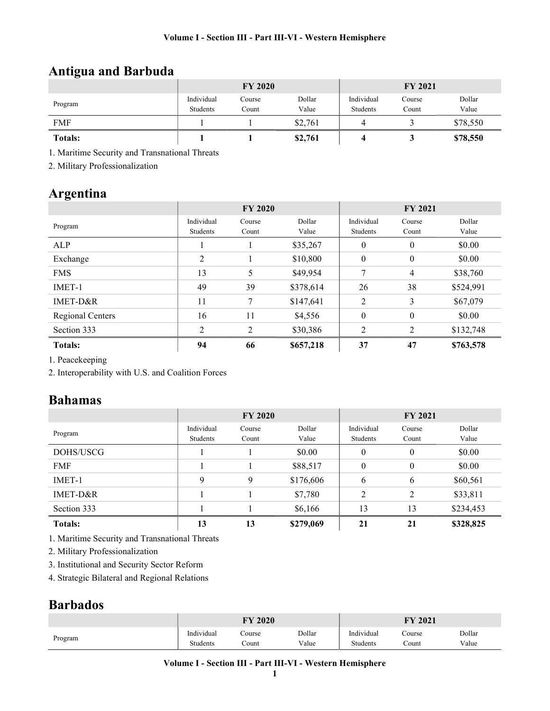# Antigua and Barbuda

|                | <b>FY 2020</b>         |                 |                 | <b>FY 2021</b>         |                 |                 |
|----------------|------------------------|-----------------|-----------------|------------------------|-----------------|-----------------|
| Program        | Individual<br>Students | Course<br>Count | Dollar<br>Value | Individual<br>Students | Course<br>Count | Dollar<br>Value |
| <b>FMF</b>     |                        |                 | \$2,761         |                        |                 | \$78,550        |
| <b>Totals:</b> |                        |                 | \$2,761         |                        |                 | \$78,550        |

1. Maritime Security and Transnational Threats

2. Military Professionalization

# Argentina

|                  | <b>FY 2020</b> |                |           | <b>FY 2021</b> |                  |           |
|------------------|----------------|----------------|-----------|----------------|------------------|-----------|
| Program          | Individual     | Course         | Dollar    | Individual     | Course           | Dollar    |
|                  | Students       | Count          | Value     | Students       | Count            | Value     |
| ALP              |                |                | \$35,267  | $\theta$       | $\mathbf{0}$     | \$0.00    |
| Exchange         | 2              |                | \$10,800  | $\theta$       | $\boldsymbol{0}$ | \$0.00    |
| <b>FMS</b>       | 13             | 5              | \$49,954  | 7              | 4                | \$38,760  |
| IMET-1           | 49             | 39             | \$378,614 | 26             | 38               | \$524,991 |
| IMET-D&R         | 11             | 7              | \$147,641 | 2              | 3                | \$67,079  |
| Regional Centers | 16             | 11             | \$4,556   | $\mathbf{0}$   | $\theta$         | \$0.00    |
| Section 333      | $\mathcal{D}$  | $\mathfrak{D}$ | \$30,386  | 2              | $\mathfrak{D}$   | \$132,748 |
| <b>Totals:</b>   | 94             | 66             | \$657,218 | 37             | 47               | \$763,578 |

1. Peacekeeping

2. Interoperability with U.S. and Coalition Forces

## Bahamas

|                | <b>FY 2020</b> |        |           | <b>FY 2021</b>   |          |           |  |
|----------------|----------------|--------|-----------|------------------|----------|-----------|--|
|                | Individual     | Course | Dollar    | Individual       | Course   | Dollar    |  |
| Program        | Students       | Count  | Value     | Students         | Count    | Value     |  |
| DOHS/USCG      |                |        | \$0.00    | $\boldsymbol{0}$ | $\theta$ | \$0.00    |  |
| <b>FMF</b>     |                |        | \$88,517  | $\theta$         | $\theta$ | \$0.00    |  |
| IMET-1         | 9              | 9      | \$176,606 | 6                | 6        | \$60,561  |  |
| IMET-D&R       |                |        | \$7,780   | $\overline{2}$   | 2        | \$33,811  |  |
| Section 333    |                |        | \$6,166   | 13               | 13       | \$234,453 |  |
| <b>Totals:</b> | 13             | 13     | \$279,069 | 21               | 21       | \$328,825 |  |

1. Maritime Security and Transnational Threats

2. Military Professionalization

3. Institutional and Security Sector Reform

4. Strategic Bilateral and Regional Relations

## Barbados

|         | 2020<br>$\mathbf{\Gamma} \mathbf{V}$                                |                  |                 | 2021<br><b>EV</b>           |                 |                 |
|---------|---------------------------------------------------------------------|------------------|-----------------|-----------------------------|-----------------|-----------------|
| Program | $\mathbf{v}$ at the state of $\mathbf{v}$<br>Individual<br>Students | Course<br>.`ount | Dollar<br>Value | .<br>Indıvıdual<br>Students | Course<br>Count | Dollar<br>Value |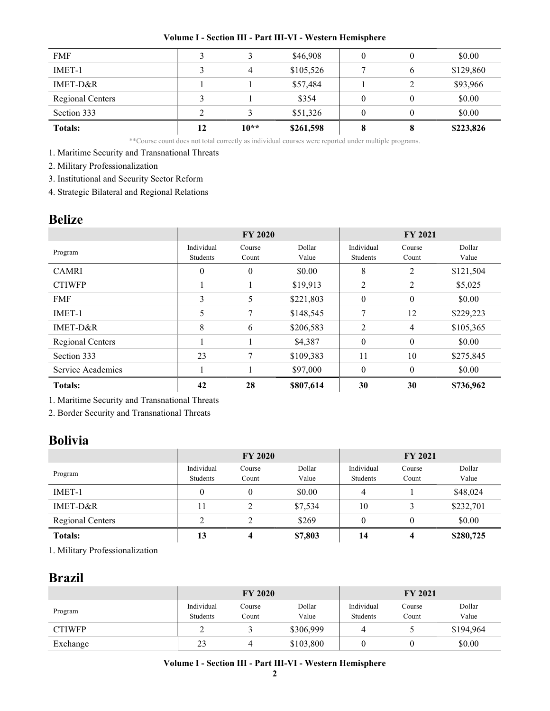| <b>FMF</b>              |    |        | \$46,908  |   |   | \$0.00    |
|-------------------------|----|--------|-----------|---|---|-----------|
| IMET-1                  |    |        | \$105,526 |   | 6 | \$129,860 |
| IMET-D&R                |    |        | \$57,484  |   |   | \$93,966  |
| <b>Regional Centers</b> |    |        | \$354     |   |   | \$0.00    |
| Section 333             |    |        | \$51,326  |   |   | \$0.00    |
| <b>Totals:</b>          | 12 | $10**$ | \$261,598 | 8 | 8 | \$223,826 |

\*\*Course count does not total correctly as individual courses were reported under multiple programs.

1. Maritime Security and Transnational Threats

2. Military Professionalization

3. Institutional and Security Sector Reform

4. Strategic Bilateral and Regional Relations

### Belize

|                   | <b>FY 2020</b>         |                 |                 | <b>FY 2021</b>         |                  |                 |
|-------------------|------------------------|-----------------|-----------------|------------------------|------------------|-----------------|
| Program           | Individual<br>Students | Course<br>Count | Dollar<br>Value | Individual<br>Students | Course<br>Count  | Dollar<br>Value |
| <b>CAMRI</b>      | $\theta$               | $\theta$        | \$0.00          | 8                      | 2                | \$121,504       |
| <b>CTIWFP</b>     |                        |                 | \$19,913        | 2                      | 2                | \$5,025         |
| <b>FMF</b>        | 3                      | 5               | \$221,803       | $\theta$               | $\boldsymbol{0}$ | \$0.00          |
| IMET-1            | 5                      | 7               | \$148,545       | 7                      | 12               | \$229,223       |
| IMET-D&R          | 8                      | 6               | \$206,583       | 2                      | $\overline{4}$   | \$105,365       |
| Regional Centers  |                        |                 | \$4,387         | $\theta$               | $\boldsymbol{0}$ | \$0.00          |
| Section 333       | 23                     | 7               | \$109,383       | 11                     | 10               | \$275,845       |
| Service Academies |                        |                 | \$97,000        | $\theta$               | $\theta$         | \$0.00          |
| <b>Totals:</b>    | 42                     | 28              | \$807,614       | 30                     | 30               | \$736,962       |

1. Maritime Security and Transnational Threats

2. Border Security and Transnational Threats

## Bolivia

|                         | <b>FY 2020</b> |        |         | <b>FY 2021</b> |          |           |
|-------------------------|----------------|--------|---------|----------------|----------|-----------|
| Program                 | Individual     | Course | Dollar  | Individual     | Course   | Dollar    |
|                         | Students       | Count  | Value   | Students       | Count    | Value     |
| IMET-1                  | $\theta$       |        | \$0.00  | 4              |          | \$48,024  |
| IMET-D&R                | 11             |        | \$7,534 | 10             |          | \$232,701 |
| <b>Regional Centers</b> |                |        | \$269   | $\theta$       | $\theta$ | \$0.00    |
| <b>Totals:</b>          | 13             | 4      | \$7,803 | 14             | 4        | \$280,725 |

1. Military Professionalization

### Brazil

|               | <b>FY 2020</b>         |                 |                 | <b>FY 2021</b>         |                 |                 |
|---------------|------------------------|-----------------|-----------------|------------------------|-----------------|-----------------|
| Program       | Individual<br>Students | Course<br>Count | Dollar<br>Value | Individual<br>Students | Course<br>Count | Dollar<br>Value |
| <b>CTIWFP</b> |                        |                 | \$306,999       | 4                      |                 | \$194,964       |
| Exchange      | 23                     |                 | \$103,800       |                        |                 | \$0.00          |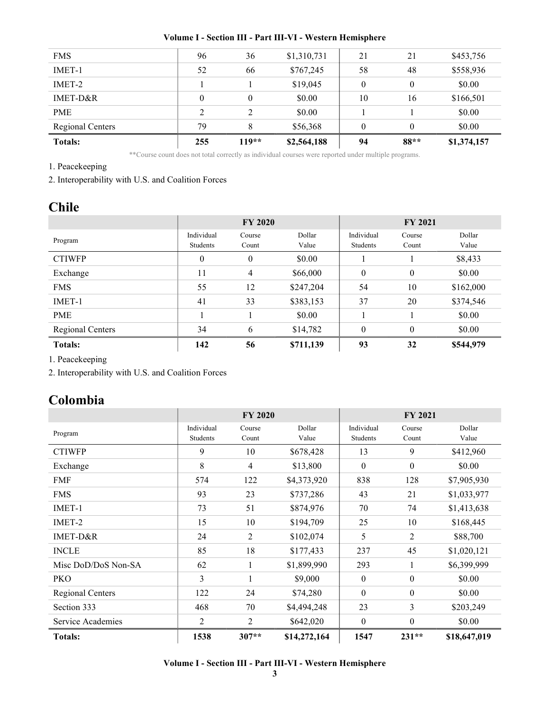| <b>Totals:</b>   | 255      | $119**$ | \$2,564,188 | 94       | $88**$   | \$1,374,157 |
|------------------|----------|---------|-------------|----------|----------|-------------|
| Regional Centers | 79       | 8       | \$56,368    | $\theta$ | $\theta$ | \$0.00      |
| <b>PME</b>       | 2        | 2       | \$0.00      |          |          | \$0.00      |
| IMET-D&R         | $\theta$ | 0       | \$0.00      | 10       | 16       | \$166,501   |
| IMET-2           |          |         | \$19,045    | $\theta$ | $\theta$ | \$0.00      |
| IMET-1           | 52       | 66      | \$767,245   | 58       | 48       | \$558,936   |
| <b>FMS</b>       | 96       | 36      | \$1,310,731 | 21       | 21       | \$453,756   |
|                  |          |         |             |          |          |             |

\*\*Course count does not total correctly as individual courses were reported under multiple programs.

1. Peacekeeping

2. Interoperability with U.S. and Coalition Forces

## Chile

|                         | <b>FY 2020</b>         |                 |                 | <b>FY 2021</b>         |                 |                 |
|-------------------------|------------------------|-----------------|-----------------|------------------------|-----------------|-----------------|
| Program                 | Individual<br>Students | Course<br>Count | Dollar<br>Value | Individual<br>Students | Course<br>Count | Dollar<br>Value |
| <b>CTIWFP</b>           | $\boldsymbol{0}$       | $\theta$        | \$0.00          |                        |                 | \$8,433         |
| Exchange                | 11                     | 4               | \$66,000        | $\mathbf{0}$           | $\mathbf{0}$    | \$0.00          |
| <b>FMS</b>              | 55                     | 12              | \$247,204       | 54                     | 10              | \$162,000       |
| IMET-1                  | 41                     | 33              | \$383,153       | 37                     | 20              | \$374,546       |
| <b>PME</b>              |                        |                 | \$0.00          |                        |                 | \$0.00          |
| <b>Regional Centers</b> | 34                     | 6               | \$14,782        | $\Omega$               | $\theta$        | \$0.00          |
| <b>Totals:</b>          | 142                    | 56              | \$711,139       | 93                     | 32              | \$544,979       |

1. Peacekeeping

2. Interoperability with U.S. and Coalition Forces

## Colombia

|                         | <b>FY 2020</b>         |                 |                 | <b>FY 2021</b>         |                  |                 |
|-------------------------|------------------------|-----------------|-----------------|------------------------|------------------|-----------------|
| Program                 | Individual<br>Students | Course<br>Count | Dollar<br>Value | Individual<br>Students | Course<br>Count  | Dollar<br>Value |
| <b>CTIWFP</b>           | 9                      | 10              | \$678,428       | 13                     | 9                | \$412,960       |
| Exchange                | 8                      | 4               | \$13,800        | $\boldsymbol{0}$       | $\boldsymbol{0}$ | \$0.00          |
| <b>FMF</b>              | 574                    | 122             | \$4,373,920     | 838                    | 128              | \$7,905,930     |
| <b>FMS</b>              | 93                     | 23              | \$737,286       | 43                     | 21               | \$1,033,977     |
| IMET-1                  | 73                     | 51              | \$874,976       | 70                     | 74               | \$1,413,638     |
| IMET-2                  | 15                     | 10              | \$194,709       | 25                     | 10               | \$168,445       |
| IMET-D&R                | 24                     | $\overline{2}$  | \$102,074       | 5                      | 2                | \$88,700        |
| <b>INCLE</b>            | 85                     | 18              | \$177,433       | 237                    | 45               | \$1,020,121     |
| Misc DoD/DoS Non-SA     | 62                     | 1               | \$1,899,990     | 293                    | $\mathbf{1}$     | \$6,399,999     |
| <b>PKO</b>              | 3                      | 1               | \$9,000         | $\boldsymbol{0}$       | $\boldsymbol{0}$ | \$0.00          |
| <b>Regional Centers</b> | 122                    | 24              | \$74,280        | $\theta$               | $\boldsymbol{0}$ | \$0.00          |
| Section 333             | 468                    | 70              | \$4,494,248     | 23                     | 3                | \$203,249       |
| Service Academies       | $\overline{2}$         | 2               | \$642,020       | $\theta$               | $\theta$         | \$0.00          |
| <b>Totals:</b>          | 1538                   | $307**$         | \$14,272,164    | 1547                   | $231**$          | \$18,647,019    |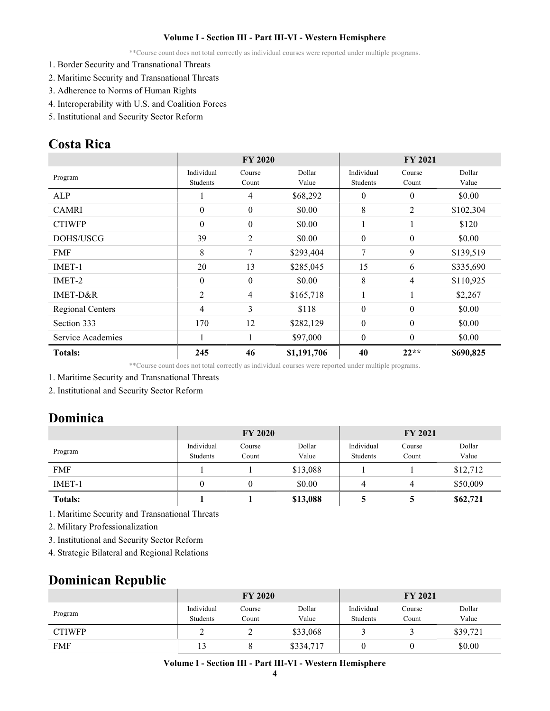\*\*Course count does not total correctly as individual courses were reported under multiple programs.

- 1. Border Security and Transnational Threats
- 2. Maritime Security and Transnational Threats
- 3. Adherence to Norms of Human Rights
- 4. Interoperability with U.S. and Coalition Forces
- 5. Institutional and Security Sector Reform

## Costa Rica

|                   | <b>FY 2020</b>         |                  |                 | <b>FY 2021</b>         |                  |                 |
|-------------------|------------------------|------------------|-----------------|------------------------|------------------|-----------------|
| Program           | Individual<br>Students | Course<br>Count  | Dollar<br>Value | Individual<br>Students | Course<br>Count  | Dollar<br>Value |
| <b>ALP</b>        |                        | 4                | \$68,292        | $\theta$               | $\boldsymbol{0}$ | \$0.00          |
| <b>CAMRI</b>      | $\mathbf{0}$           | $\mathbf{0}$     | \$0.00          | 8                      | 2                | \$102,304       |
| <b>CTIWFP</b>     | $\theta$               | $\boldsymbol{0}$ | \$0.00          |                        |                  | \$120           |
| DOHS/USCG         | 39                     | $\overline{2}$   | \$0.00          | $\theta$               | $\boldsymbol{0}$ | \$0.00          |
| <b>FMF</b>        | 8                      | 7                | \$293,404       | 7                      | 9                | \$139,519       |
| $IMET-1$          | 20                     | 13               | \$285,045       | 15                     | 6                | \$335,690       |
| IMET-2            | $\theta$               | $\boldsymbol{0}$ | \$0.00          | 8                      | 4                | \$110,925       |
| IMET-D&R          | $\overline{2}$         | $\overline{4}$   | \$165,718       |                        |                  | \$2,267         |
| Regional Centers  | 4                      | 3                | \$118           | $\theta$               | $\theta$         | \$0.00          |
| Section 333       | 170                    | 12               | \$282,129       | $\theta$               | $\theta$         | \$0.00          |
| Service Academies |                        |                  | \$97,000        | $\theta$               | $\theta$         | \$0.00          |
| <b>Totals:</b>    | 245                    | 46               | \$1,191,706     | 40                     | $22**$           | \$690,825       |

\*\*Course count does not total correctly as individual courses were reported under multiple programs.

- 1. Maritime Security and Transnational Threats
- 2. Institutional and Security Sector Reform

## Dominica

|                | <b>FY 2020</b>         |                 |                 | <b>FY 2021</b>         |                 |                 |
|----------------|------------------------|-----------------|-----------------|------------------------|-----------------|-----------------|
| Program        | Individual<br>Students | Course<br>Count | Dollar<br>Value | Individual<br>Students | Course<br>Count | Dollar<br>Value |
| <b>FMF</b>     |                        |                 | \$13,088        |                        |                 | \$12,712        |
| $IMET-1$       | 0                      | 0               | \$0.00          | 4                      | 4               | \$50,009        |
| <b>Totals:</b> |                        |                 | \$13,088        |                        |                 | \$62,721        |

1. Maritime Security and Transnational Threats

2. Military Professionalization

- 3. Institutional and Security Sector Reform
- 4. Strategic Bilateral and Regional Relations

### Dominican Republic

|               | <b>FY 2020</b>         |                 |                 | <b>FY 2021</b>         |                 |                 |
|---------------|------------------------|-----------------|-----------------|------------------------|-----------------|-----------------|
| Program       | Individual<br>Students | Course<br>Count | Dollar<br>Value | Individual<br>Students | Course<br>Count | Dollar<br>Value |
| <b>CTIWFP</b> |                        |                 | \$33,068        |                        |                 | \$39,721        |
| <b>FMF</b>    | 13                     |                 | \$334,717       |                        |                 | \$0.00          |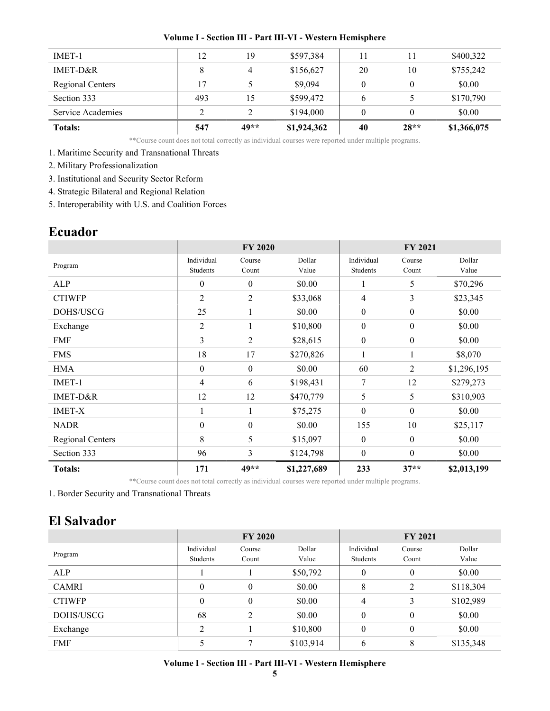| <b>Totals:</b>    | 547 | 49** | \$1,924,362 | 40 | $28**$ | \$1,366,075 |
|-------------------|-----|------|-------------|----|--------|-------------|
| Service Academies | ∍   |      | \$194,000   |    |        | \$0.00      |
| Section 333       | 493 | 15   | \$599,472   | 6  |        | \$170,790   |
| Regional Centers  | 17  |      | \$9,094     | 0  |        | \$0.00      |
| $IMET-D&R$        | 8   | Λ    | \$156,627   | 20 | 10     | \$755,242   |
| IMET-1            | 12  | 19   | \$597,384   | 11 | 11     | \$400,322   |
|                   |     |      |             |    |        |             |

\*\*Course count does not total correctly as individual courses were reported under multiple programs.

#### 1. Maritime Security and Transnational Threats

- 2. Military Professionalization
- 3. Institutional and Security Sector Reform
- 4. Strategic Bilateral and Regional Relation

5. Interoperability with U.S. and Coalition Forces

## Ecuador

|                         | <b>FY 2020</b>         |                  |                 | <b>FY 2021</b>         |                  |                 |
|-------------------------|------------------------|------------------|-----------------|------------------------|------------------|-----------------|
| Program                 | Individual<br>Students | Course<br>Count  | Dollar<br>Value | Individual<br>Students | Course<br>Count  | Dollar<br>Value |
| ALP                     | $\mathbf{0}$           | $\mathbf{0}$     | \$0.00          | $\bf{l}$               | 5                | \$70,296        |
| <b>CTIWFP</b>           | $\overline{2}$         | 2                | \$33,068        | 4                      | 3                | \$23,345        |
| DOHS/USCG               | 25                     | 1                | \$0.00          | $\boldsymbol{0}$       | $\boldsymbol{0}$ | \$0.00          |
| Exchange                | $\overline{2}$         | 1                | \$10,800        | $\boldsymbol{0}$       | $\boldsymbol{0}$ | \$0.00          |
| <b>FMF</b>              | 3                      | $\overline{2}$   | \$28,615        | $\boldsymbol{0}$       | $\boldsymbol{0}$ | \$0.00          |
| <b>FMS</b>              | 18                     | 17               | \$270,826       | $\mathbf{1}$           | 1                | \$8,070         |
| <b>HMA</b>              | $\boldsymbol{0}$       | $\boldsymbol{0}$ | \$0.00          | 60                     | 2                | \$1,296,195     |
| IMET-1                  | $\overline{4}$         | 6                | \$198,431       | 7                      | 12               | \$279,273       |
| IMET-D&R                | 12                     | 12               | \$470,779       | 5                      | 5                | \$310,903       |
| <b>IMET-X</b>           |                        | 1                | \$75,275        | $\boldsymbol{0}$       | $\boldsymbol{0}$ | \$0.00          |
| <b>NADR</b>             | $\boldsymbol{0}$       | $\boldsymbol{0}$ | \$0.00          | 155                    | 10               | \$25,117        |
| <b>Regional Centers</b> | 8                      | 5                | \$15,097        | $\boldsymbol{0}$       | $\boldsymbol{0}$ | \$0.00          |
| Section 333             | 96                     | 3                | \$124,798       | $\mathbf{0}$           | $\mathbf{0}$     | \$0.00          |
| <b>Totals:</b>          | 171                    | 49**             | \$1,227,689     | 233                    | $37**$           | \$2,013,199     |

\*\*Course count does not total correctly as individual courses were reported under multiple programs.

1. Border Security and Transnational Threats

## El Salvador

|               | <b>FY 2020</b> |                  |           | <b>FY 2021</b> |          |           |
|---------------|----------------|------------------|-----------|----------------|----------|-----------|
| Program       | Individual     | Course           | Dollar    | Individual     | Course   | Dollar    |
|               | Students       | Count            | Value     | Students       | Count    | Value     |
| ALP           |                |                  | \$50,792  | $\theta$       | $\theta$ | \$0.00    |
| <b>CAMRI</b>  | $\overline{0}$ | $\boldsymbol{0}$ | \$0.00    | 8              | 2        | \$118,304 |
| <b>CTIWFP</b> | $\overline{0}$ | $\overline{0}$   | \$0.00    | 4              | 3        | \$102,989 |
| DOHS/USCG     | 68             | 2                | \$0.00    | $\theta$       | $\theta$ | \$0.00    |
| Exchange      | $\overline{2}$ |                  | \$10,800  | $\theta$       | $\theta$ | \$0.00    |
| <b>FMF</b>    |                | 7                | \$103,914 | 6              | 8        | \$135,348 |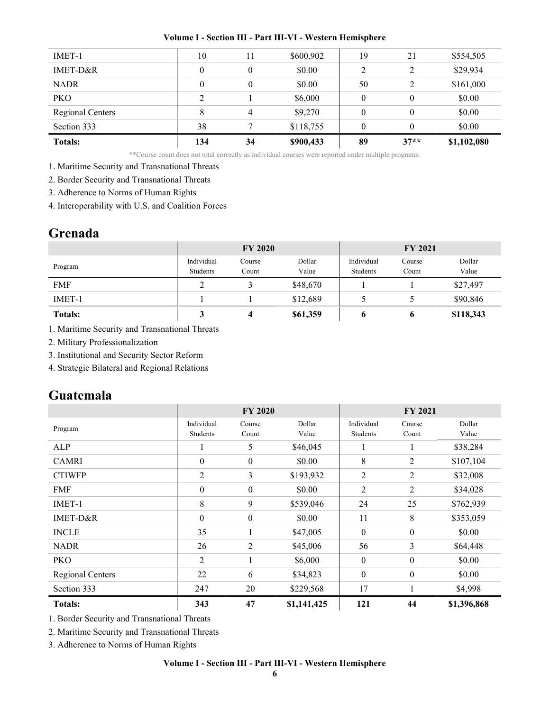| <b>Totals:</b>          | 134 | 34             | \$900,433 | 89       | $37**$   | \$1,102,080 |
|-------------------------|-----|----------------|-----------|----------|----------|-------------|
| Section 333             | 38  |                | \$118,755 | $\theta$ | 0        | \$0.00      |
| <b>Regional Centers</b> | 8   | $\overline{4}$ | \$9,270   | $\theta$ | $\theta$ | \$0.00      |
| <b>PKO</b>              | ↑   |                | \$6,000   | $\theta$ | $\theta$ | \$0.00      |
| <b>NADR</b>             | 0   | $\theta$       | \$0.00    | 50       | 2        | \$161,000   |
| IMET-D&R                | 0   | $\theta$       | \$0.00    | 2        | 2        | \$29,934    |
| IMET-1                  | 10  | 11             | \$600,902 | 19       | 21       | \$554,505   |
|                         |     |                |           |          |          |             |

\*\*Course count does not total correctly as individual courses were reported under multiple programs.

1. Maritime Security and Transnational Threats

2. Border Security and Transnational Threats

3. Adherence to Norms of Human Rights

4. Interoperability with U.S. and Coalition Forces

## Grenada

|                | <b>FY 2020</b>         |                 |                 | <b>FY 2021</b>         |                 |                 |
|----------------|------------------------|-----------------|-----------------|------------------------|-----------------|-----------------|
| Program        | Individual<br>Students | Course<br>Count | Dollar<br>Value | Individual<br>Students | Course<br>Count | Dollar<br>Value |
| <b>FMF</b>     |                        |                 | \$48,670        |                        |                 | \$27,497        |
| $IMET-1$       |                        |                 | \$12,689        |                        |                 | \$90,846        |
| <b>Totals:</b> | J                      | 4               | \$61,359        | o                      | O               | \$118,343       |

1. Maritime Security and Transnational Threats

2. Military Professionalization

3. Institutional and Security Sector Reform

4. Strategic Bilateral and Regional Relations

## Guatemala

|                  | <b>FY 2020</b>   |                  |             | <b>FY 2021</b>   |                  |             |
|------------------|------------------|------------------|-------------|------------------|------------------|-------------|
| Program          | Individual       | Course           | Dollar      | Individual       | Course           | Dollar      |
|                  | Students         | Count            | Value       | Students         | Count            | Value       |
| ALP              |                  | 5                | \$46,045    |                  |                  | \$38,284    |
| <b>CAMRI</b>     | $\boldsymbol{0}$ | $\boldsymbol{0}$ | \$0.00      | 8                | 2                | \$107,104   |
| <b>CTIWFP</b>    | 2                | 3                | \$193,932   | 2                | $\overline{2}$   | \$32,008    |
| <b>FMF</b>       | $\boldsymbol{0}$ | $\boldsymbol{0}$ | \$0.00      | $\overline{2}$   | $\overline{2}$   | \$34,028    |
| IMET-1           | 8                | 9                | \$539,046   | 24               | 25               | \$762,939   |
| IMET-D&R         | $\boldsymbol{0}$ | $\boldsymbol{0}$ | \$0.00      | 11               | 8                | \$353,059   |
| <b>INCLE</b>     | 35               |                  | \$47,005    | $\boldsymbol{0}$ | $\boldsymbol{0}$ | \$0.00      |
| <b>NADR</b>      | 26               | $\overline{2}$   | \$45,006    | 56               | 3                | \$64,448    |
| PKO              | 2                | 1                | \$6,000     | $\boldsymbol{0}$ | $\boldsymbol{0}$ | \$0.00      |
| Regional Centers | 22               | 6                | \$34,823    | $\mathbf{0}$     | $\boldsymbol{0}$ | \$0.00      |
| Section 333      | 247              | 20               | \$229,568   | 17               |                  | \$4,998     |
| <b>Totals:</b>   | 343              | 47               | \$1,141,425 | 121              | 44               | \$1,396,868 |

1. Border Security and Transnational Threats

2. Maritime Security and Transnational Threats

3. Adherence to Norms of Human Rights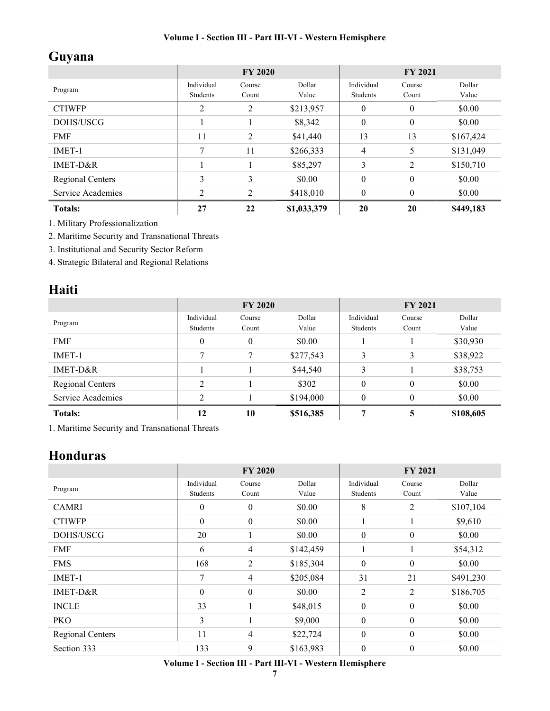# Guyana

|                   | <b>FY 2020</b>         |                 |                 | <b>FY 2021</b>         |                 |                 |
|-------------------|------------------------|-----------------|-----------------|------------------------|-----------------|-----------------|
| Program           | Individual<br>Students | Course<br>Count | Dollar<br>Value | Individual<br>Students | Course<br>Count | Dollar<br>Value |
| <b>CTIWFP</b>     | $\overline{2}$         | 2               | \$213,957       | $\theta$               | $\theta$        | \$0.00          |
| DOHS/USCG         |                        |                 | \$8,342         | $\theta$               | $\theta$        | \$0.00          |
| <b>FMF</b>        | 11                     | $\overline{2}$  | \$41,440        | 13                     | 13              | \$167,424       |
| IMET-1            | 7                      | 11              | \$266,333       | $\overline{4}$         | 5               | \$131,049       |
| IMET-D&R          |                        |                 | \$85,297        | 3                      | 2               | \$150,710       |
| Regional Centers  | 3                      | 3               | \$0.00          | $\theta$               | $\theta$        | \$0.00          |
| Service Academies | C.                     | $\mathfrak{D}$  | \$418,010       | $\theta$               | $\mathbf{0}$    | \$0.00          |
| <b>Totals:</b>    | 27                     | 22              | \$1,033,379     | 20                     | 20              | \$449,183       |

1. Military Professionalization

2. Maritime Security and Transnational Threats

3. Institutional and Security Sector Reform

4. Strategic Bilateral and Regional Relations

## Haiti

|                   | <b>FY 2020</b>         |                 |                 | <b>FY 2021</b>         |                 |                 |
|-------------------|------------------------|-----------------|-----------------|------------------------|-----------------|-----------------|
| Program           | Individual<br>Students | Course<br>Count | Dollar<br>Value | Individual<br>Students | Course<br>Count | Dollar<br>Value |
| <b>FMF</b>        | $\theta$               | $\theta$        | \$0.00          |                        |                 | \$30,930        |
| IMET-1            | 7                      |                 | \$277,543       | 3                      | 3               | \$38,922        |
| $IMET-D&R$        |                        |                 | \$44,540        | 3                      |                 | \$38,753        |
| Regional Centers  | C                      |                 | \$302           | $\theta$               | $\theta$        | \$0.00          |
| Service Academies | ↑                      |                 | \$194,000       | $\theta$               | $\theta$        | \$0.00          |
| <b>Totals:</b>    | 12                     | 10              | \$516,385       | 7                      | 5               | \$108,605       |

1. Maritime Security and Transnational Threats

## Honduras

|                  | <b>FY 2020</b>         |                  |                 | <b>FY 2021</b>         |                  |                 |
|------------------|------------------------|------------------|-----------------|------------------------|------------------|-----------------|
| Program          | Individual<br>Students | Course<br>Count  | Dollar<br>Value | Individual<br>Students | Course<br>Count  | Dollar<br>Value |
| <b>CAMRI</b>     | $\mathbf{0}$           | 0                | \$0.00          | 8                      | $\overline{2}$   | \$107,104       |
| <b>CTIWFP</b>    | $\mathbf{0}$           | $\boldsymbol{0}$ | \$0.00          | 1                      | 1                | \$9,610         |
| DOHS/USCG        | 20                     |                  | \$0.00          | $\mathbf{0}$           | $\boldsymbol{0}$ | \$0.00          |
| <b>FMF</b>       | 6                      | 4                | \$142,459       |                        |                  | \$54,312        |
| <b>FMS</b>       | 168                    | 2                | \$185,304       | $\boldsymbol{0}$       | $\boldsymbol{0}$ | \$0.00          |
| IMET-1           | 7                      | 4                | \$205,084       | 31                     | 21               | \$491,230       |
| IMET-D&R         | $\mathbf{0}$           | $\boldsymbol{0}$ | \$0.00          | 2                      | 2                | \$186,705       |
| <b>INCLE</b>     | 33                     |                  | \$48,015        | $\boldsymbol{0}$       | $\mathbf{0}$     | \$0.00          |
| <b>PKO</b>       | 3                      |                  | \$9,000         | $\boldsymbol{0}$       | $\boldsymbol{0}$ | \$0.00          |
| Regional Centers | 11                     | 4                | \$22,724        | $\boldsymbol{0}$       | $\boldsymbol{0}$ | \$0.00          |
| Section 333      | 133                    | 9                | \$163,983       | $\boldsymbol{0}$       | $\boldsymbol{0}$ | \$0.00          |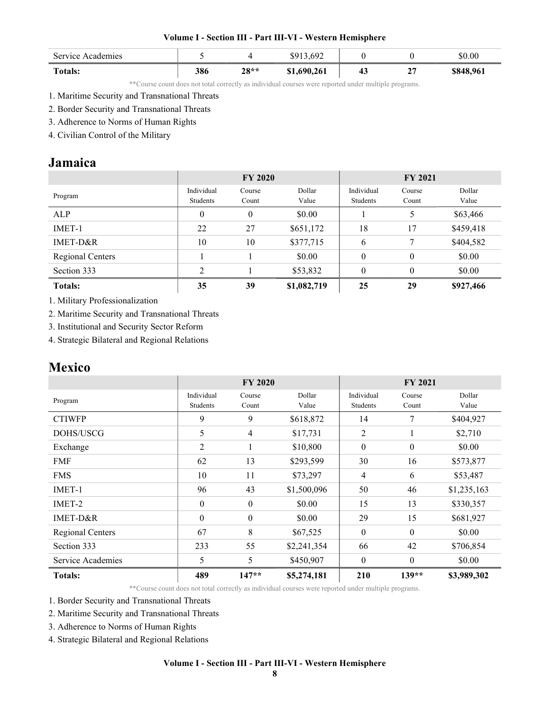| Service Academies |     |                   | 13,692<br>\$913 |    |              | \$0.00    |
|-------------------|-----|-------------------|-----------------|----|--------------|-----------|
| <b>Totals:</b>    | 386 | <b>70**</b><br>40 | \$1,690,261     | 43 | $\sim$<br>41 | \$848,961 |

\*\*Course count does not total correctly as individual courses were reported under multiple programs.

- 2. Border Security and Transnational Threats
- 3. Adherence to Norms of Human Rights
- 4. Civilian Control of the Military

## Jamaica

|                  | <b>FY 2020</b> |                |             | <b>FY 2021</b> |          |           |
|------------------|----------------|----------------|-------------|----------------|----------|-----------|
| Program          | Individual     | Course         | Dollar      | Individual     | Course   | Dollar    |
|                  | Students       | Count          | Value       | Students       | Count    | Value     |
| ALP              | $\theta$       | $\overline{0}$ | \$0.00      |                | 5        | \$63,466  |
| IMET-1           | 22             | 27             | \$651,172   | 18             | 17       | \$459,418 |
| IMET-D&R         | 10             | 10             | \$377,715   | 6              | 7        | \$404,582 |
| Regional Centers |                |                | \$0.00      | $\theta$       | $\theta$ | \$0.00    |
| Section 333      | C              |                | \$53,832    | $\overline{0}$ | $\theta$ | \$0.00    |
| <b>Totals:</b>   | 35             | 39             | \$1,082,719 | 25             | 29       | \$927,466 |

1. Military Professionalization

2. Maritime Security and Transnational Threats

3. Institutional and Security Sector Reform

4. Strategic Bilateral and Regional Relations

## Mexico

|                   | <b>FY 2020</b>         |                 |                 | <b>FY 2021</b>         |                  |                 |
|-------------------|------------------------|-----------------|-----------------|------------------------|------------------|-----------------|
| Program           | Individual<br>Students | Course<br>Count | Dollar<br>Value | Individual<br>Students | Course<br>Count  | Dollar<br>Value |
| <b>CTIWFP</b>     | 9                      | 9               | \$618,872       | 14                     | 7                | \$404,927       |
| DOHS/USCG         | 5                      | 4               | \$17,731        | 2                      |                  | \$2,710         |
| Exchange          | 2                      | 1               | \$10,800        | $\boldsymbol{0}$       | $\boldsymbol{0}$ | \$0.00          |
| <b>FMF</b>        | 62                     | 13              | \$293,599       | 30                     | 16               | \$573,877       |
| <b>FMS</b>        | 10                     | 11              | \$73,297        | $\overline{4}$         | 6                | \$53,487        |
| IMET-1            | 96                     | 43              | \$1,500,096     | 50                     | 46               | \$1,235,163     |
| IMET-2            | $\theta$               | $\theta$        | \$0.00          | 15                     | 13               | \$330,357       |
| IMET-D&R          | $\theta$               | $\theta$        | \$0.00          | 29                     | 15               | \$681,927       |
| Regional Centers  | 67                     | 8               | \$67,525        | $\boldsymbol{0}$       | $\boldsymbol{0}$ | \$0.00          |
| Section 333       | 233                    | 55              | \$2,241,354     | 66                     | 42               | \$706,854       |
| Service Academies | 5                      | 5               | \$450,907       | $\boldsymbol{0}$       | $\theta$         | \$0.00          |
| <b>Totals:</b>    | 489                    | $147**$         | \$5,274,181     | 210                    | $139**$          | \$3,989,302     |

\*\*Course count does not total correctly as individual courses were reported under multiple programs.

1. Border Security and Transnational Threats

2. Maritime Security and Transnational Threats

3. Adherence to Norms of Human Rights

4. Strategic Bilateral and Regional Relations

<sup>1.</sup> Maritime Security and Transnational Threats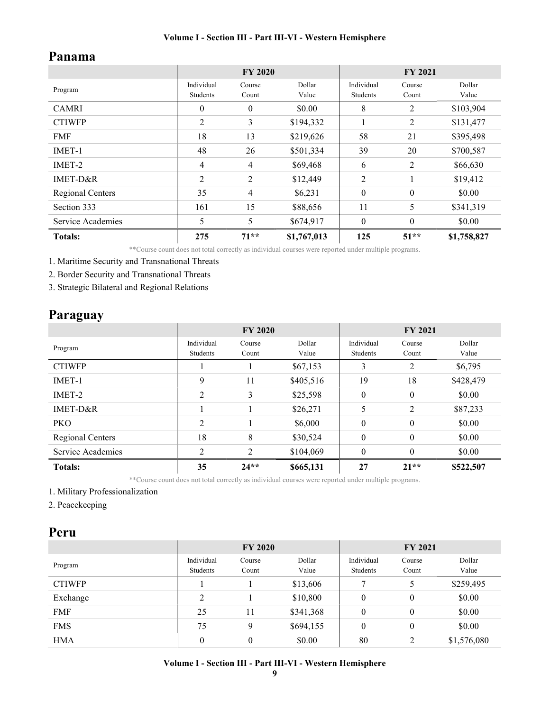## Panama

|                         | <b>FY 2020</b>         |                 |                 | FY 2021                |                 |                 |
|-------------------------|------------------------|-----------------|-----------------|------------------------|-----------------|-----------------|
| Program                 | Individual<br>Students | Course<br>Count | Dollar<br>Value | Individual<br>Students | Course<br>Count | Dollar<br>Value |
| <b>CAMRI</b>            | 0                      | $\mathbf{0}$    | \$0.00          | 8                      | 2               | \$103,904       |
| <b>CTIWFP</b>           | 2                      | 3               | \$194,332       |                        | 2               | \$131,477       |
| <b>FMF</b>              | 18                     | 13              | \$219,626       | 58                     | 21              | \$395,498       |
| IMET-1                  | 48                     | 26              | \$501,334       | 39                     | 20              | \$700,587       |
| IMET-2                  | 4                      | 4               | \$69,468        | 6                      | 2               | \$66,630        |
| IMET-D&R                | 2                      | 2               | \$12,449        | 2                      | 1               | \$19,412        |
| <b>Regional Centers</b> | 35                     | 4               | \$6,231         | $\mathbf{0}$           | $\mathbf{0}$    | \$0.00          |
| Section 333             | 161                    | 15              | \$88,656        | 11                     | 5               | \$341,319       |
| Service Academies       | 5                      | 5               | \$674,917       | $\mathbf{0}$           | $\mathbf{0}$    | \$0.00          |
| <b>Totals:</b>          | 275                    | $71**$          | \$1,767,013     | 125                    | $51**$          | \$1,758,827     |

\*\*Course count does not total correctly as individual courses were reported under multiple programs.

1. Maritime Security and Transnational Threats

2. Border Security and Transnational Threats

3. Strategic Bilateral and Regional Relations

## Paraguay

|                   | <b>FY 2020</b>         |                 |                 | <b>FY 2021</b>         |                 |                 |
|-------------------|------------------------|-----------------|-----------------|------------------------|-----------------|-----------------|
| Program           | Individual<br>Students | Course<br>Count | Dollar<br>Value | Individual<br>Students | Course<br>Count | Dollar<br>Value |
| <b>CTIWFP</b>     |                        |                 | \$67,153        | 3                      | 2               | \$6,795         |
| IMET-1            | 9                      | 11              | \$405,516       | 19                     | 18              | \$428,479       |
| IMET-2            | 2                      | 3               | \$25,598        | $\theta$               | $\mathbf{0}$    | \$0.00          |
| $IMET-D&R$        |                        |                 | \$26,271        | 5                      | $\overline{2}$  | \$87,233        |
| <b>PKO</b>        | 2                      |                 | \$6,000         | $\theta$               | $\mathbf{0}$    | \$0.00          |
| Regional Centers  | 18                     | 8               | \$30,524        | $\theta$               | $\theta$        | \$0.00          |
| Service Academies | C                      | $\overline{c}$  | \$104,069       | $\theta$               | $\theta$        | \$0.00          |
| <b>Totals:</b>    | 35                     | $24**$          | \$665,131       | 27                     | $21**$          | \$522,507       |

\*\*Course count does not total correctly as individual courses were reported under multiple programs.

1. Military Professionalization

2. Peacekeeping

### Peru

|               | <b>FY 2020</b>         |                 |                 | <b>FY 2021</b>         |                 |                 |
|---------------|------------------------|-----------------|-----------------|------------------------|-----------------|-----------------|
| Program       | Individual<br>Students | Course<br>Count | Dollar<br>Value | Individual<br>Students | Course<br>Count | Dollar<br>Value |
| <b>CTIWFP</b> |                        |                 | \$13,606        |                        | 5               | \$259,495       |
| Exchange      | $\overline{2}$         |                 | \$10,800        | $\theta$               | $\theta$        | \$0.00          |
| <b>FMF</b>    | 25                     | 11              | \$341,368       | $\theta$               | $\theta$        | \$0.00          |
| <b>FMS</b>    | 75                     | 9               | \$694,155       | $\theta$               | $\theta$        | \$0.00          |
| <b>HMA</b>    | $\boldsymbol{0}$       | 0               | \$0.00          | 80                     | 2               | \$1,576,080     |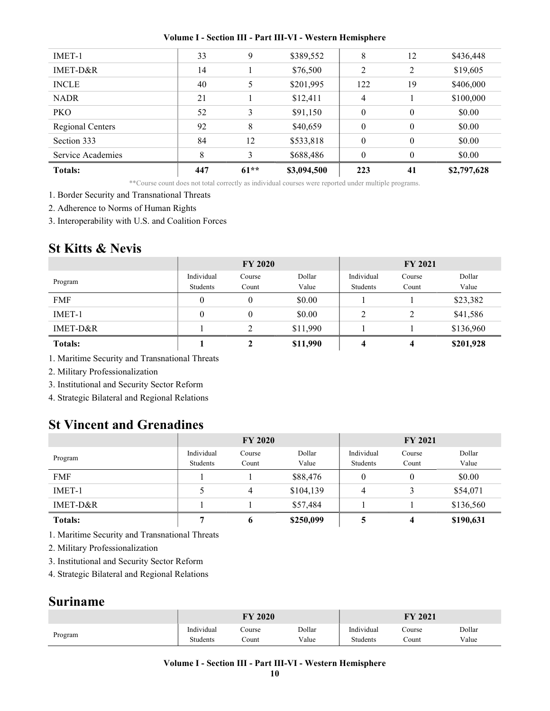| <b>Totals:</b>    | 447 | $61**$ | \$3,094,500 | 223          | 41               | \$2,797,628 |
|-------------------|-----|--------|-------------|--------------|------------------|-------------|
| Service Academies | 8   | 3      | \$688,486   | $\mathbf{0}$ | $\mathbf{0}$     | \$0.00      |
| Section 333       | 84  | 12     | \$533,818   | $\theta$     | $\boldsymbol{0}$ | \$0.00      |
| Regional Centers  | 92  | 8      | \$40,659    | $\theta$     | $\boldsymbol{0}$ | \$0.00      |
| <b>PKO</b>        | 52  | 3      | \$91,150    | $\theta$     | $\mathbf{0}$     | \$0.00      |
| <b>NADR</b>       | 21  |        | \$12,411    | 4            |                  | \$100,000   |
| <b>INCLE</b>      | 40  |        | \$201,995   | 122          | 19               | \$406,000   |
| IMET-D&R          | 14  |        | \$76,500    | 2            | 2                | \$19,605    |
| IMET-1            | 33  | 9      | \$389,552   | 8            | 12               | \$436,448   |
|                   |     |        |             |              |                  |             |

\*\*Course count does not total correctly as individual courses were reported under multiple programs.

1. Border Security and Transnational Threats

2. Adherence to Norms of Human Rights

3. Interoperability with U.S. and Coalition Forces

## St Kitts & Nevis

|                | <b>FY 2020</b> |          |          | <b>FY 2021</b> |        |           |
|----------------|----------------|----------|----------|----------------|--------|-----------|
| Program        | Individual     | Course   | Dollar   | Individual     | Course | Dollar    |
|                | Students       | Count    | Value    | Students       | Count  | Value     |
| <b>FMF</b>     | $\theta$       | 0        | \$0.00   |                |        | \$23,382  |
| $IMET-1$       | $\theta$       | $\theta$ | \$0.00   |                | 2      | \$41,586  |
| IMET-D&R       |                |          | \$11,990 |                |        | \$136,960 |
| <b>Totals:</b> |                | 2        | \$11,990 | 4              | 4      | \$201,928 |

1. Maritime Security and Transnational Threats

2. Military Professionalization

3. Institutional and Security Sector Reform

4. Strategic Bilateral and Regional Relations

## St Vincent and Grenadines

|                | <b>FY 2020</b>         |                 |                 | <b>FY 2021</b>         |                 |                 |
|----------------|------------------------|-----------------|-----------------|------------------------|-----------------|-----------------|
| Program        | Individual<br>Students | Course<br>Count | Dollar<br>Value | Individual<br>Students | Course<br>Count | Dollar<br>Value |
| <b>FMF</b>     |                        |                 | \$88,476        |                        |                 | \$0.00          |
| $IMET-1$       |                        | 4               | \$104,139       | 4                      | 3               | \$54,071        |
| IMET-D&R       |                        |                 | \$57,484        |                        |                 | \$136,560       |
| <b>Totals:</b> |                        | o               | \$250,099       |                        | 4               | \$190,631       |

1. Maritime Security and Transnational Threats

2. Military Professionalization

3. Institutional and Security Sector Reform

4. Strategic Bilateral and Regional Relations

## Suriname

|         | <b>FY 2020</b>  |        |        | 2021<br>FY |        |        |
|---------|-----------------|--------|--------|------------|--------|--------|
| Program | Individual      | Course | Dollar | Individual | Course | Dollar |
|         | <b>Students</b> | .`ount | Value  | Students   | Count  | Value  |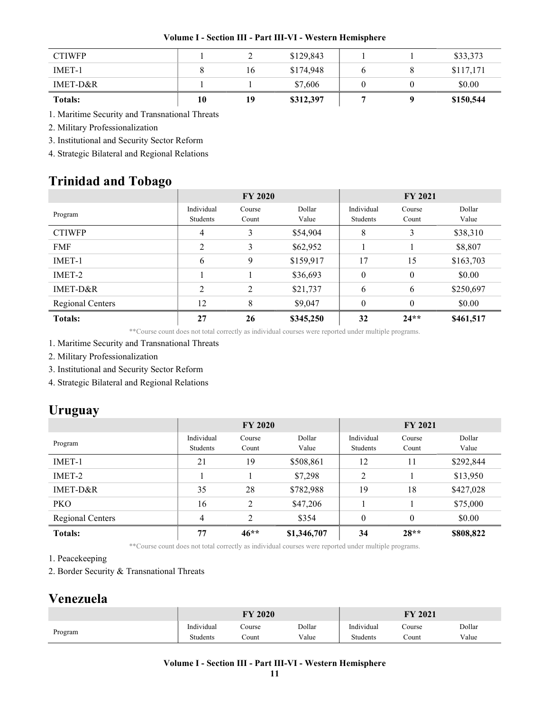|  |  | Volume I - Section III - Part III-VI - Western Hemisphere |
|--|--|-----------------------------------------------------------|
|  |  |                                                           |

| <b>CTIWFP</b>  |    |    | \$129,843 |  | \$33,373  |
|----------------|----|----|-----------|--|-----------|
| <b>IMET-1</b>  |    | 16 | \$174,948 |  | \$117,171 |
| IMET-D&R       |    |    | \$7,606   |  | \$0.00    |
| <b>Totals:</b> | 10 | 19 | \$312,397 |  | \$150,544 |

1. Maritime Security and Transnational Threats

2. Military Professionalization

3. Institutional and Security Sector Reform

4. Strategic Bilateral and Regional Relations

## Trinidad and Tobago

|                  | <b>FY 2020</b>         |                 |                 | <b>FY 2021</b>         |                 |                 |
|------------------|------------------------|-----------------|-----------------|------------------------|-----------------|-----------------|
| Program          | Individual<br>Students | Course<br>Count | Dollar<br>Value | Individual<br>Students | Course<br>Count | Dollar<br>Value |
| <b>CTIWFP</b>    | 4                      | 3               | \$54,904        | 8                      | 3               | \$38,310        |
| <b>FMF</b>       | 2                      | 3               | \$62,952        |                        |                 | \$8,807         |
| IMET-1           | 6                      | 9               | \$159,917       | 17                     | 15              | \$163,703       |
| IMET-2           |                        |                 | \$36,693        | $\theta$               | $\mathbf{0}$    | \$0.00          |
| IMET-D&R         | $\overline{2}$         | 2               | \$21,737        | 6                      | 6               | \$250,697       |
| Regional Centers | 12                     | 8               | \$9,047         | 0                      | $\theta$        | \$0.00          |
| <b>Totals:</b>   | 27                     | 26              | \$345,250       | 32                     | $24**$          | \$461,517       |

\*\*Course count does not total correctly as individual courses were reported under multiple programs.

1. Maritime Security and Transnational Threats

2. Military Professionalization

3. Institutional and Security Sector Reform

4. Strategic Bilateral and Regional Relations

## Uruguay

|                         | <b>FY 2020</b> |                |             | <b>FY 2021</b> |          |           |
|-------------------------|----------------|----------------|-------------|----------------|----------|-----------|
| Program                 | Individual     | Course         | Dollar      | Individual     | Course   | Dollar    |
|                         | Students       | Count          | Value       | Students       | Count    | Value     |
| IMET-1                  | 21             | 19             | \$508,861   | 12             | 11       | \$292,844 |
| IMET-2                  |                |                | \$7,298     | 2              |          | \$13,950  |
| IMET-D&R                | 35             | 28             | \$782,988   | 19             | 18       | \$427,028 |
| <b>PKO</b>              | 16             | 2              | \$47,206    |                |          | \$75,000  |
| <b>Regional Centers</b> | $\overline{4}$ | $\overline{2}$ | \$354       | $\theta$       | $\theta$ | \$0.00    |
| <b>Totals:</b>          | 77             | $46**$         | \$1,346,707 | 34             | $28**$   | \$808,822 |

\*\*Course count does not total correctly as individual courses were reported under multiple programs.

1. Peacekeeping

2. Border Security & Transnational Threats

## Venezuela

|         | <b>FY 2020</b> |        |        | 12021<br>FY |        |        |  |
|---------|----------------|--------|--------|-------------|--------|--------|--|
| Program | Individual     | Course | Dollar | Individual  | Course | Dollar |  |
|         | Students       | ∠ount  | Value  | Students    | Count  | Value  |  |